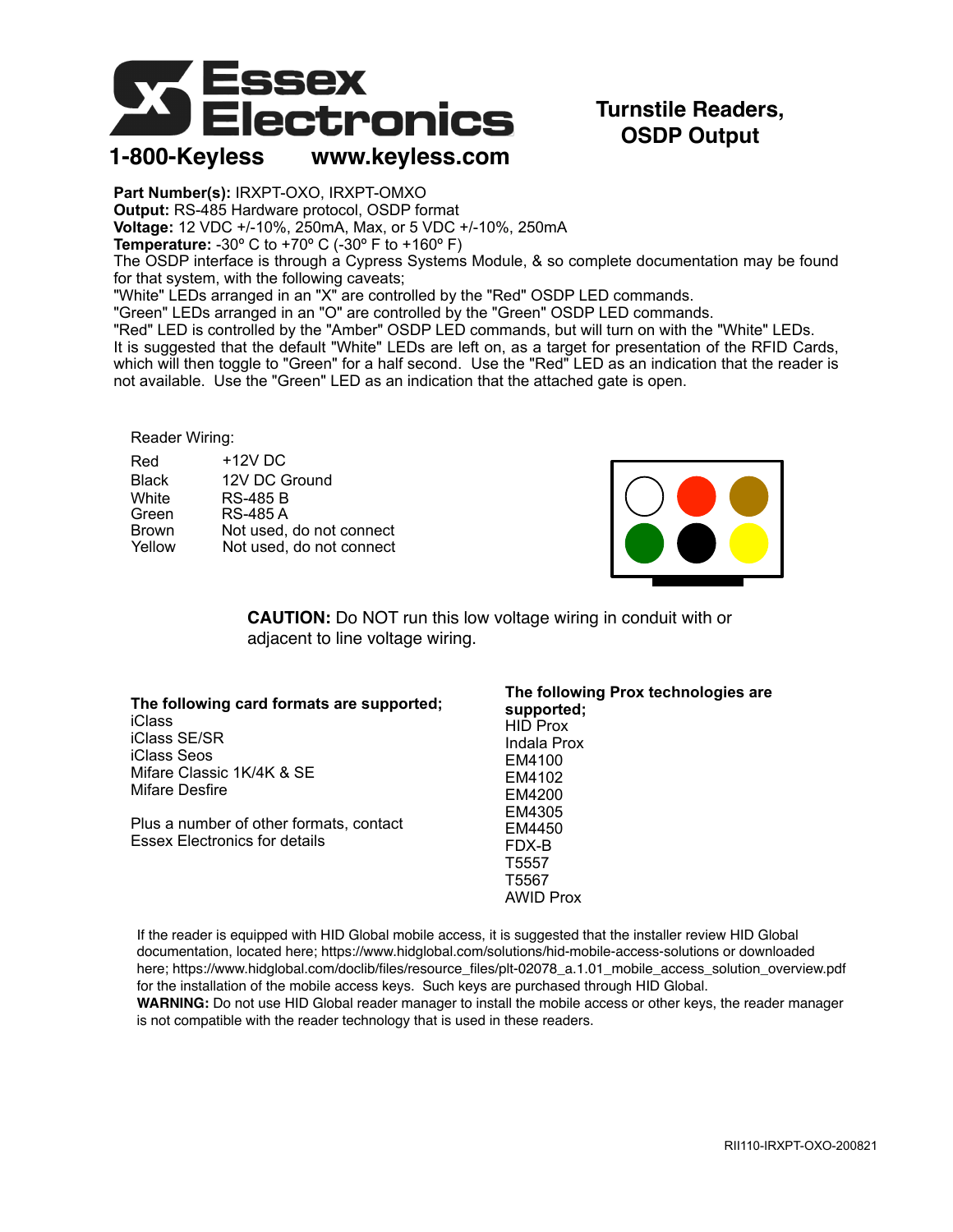

## **Turnstile Readers, OSDP Output**

**1-800-Keyless www.keyless.com**

**Part Number(s):** IRXPT-OXO, IRXPT-OMXO **Output:** RS-485 Hardware protocol, OSDP format **Voltage:** 12 VDC +/-10%, 250mA, Max, or 5 VDC +/-10%, 250mA **Temperature:** -30º C to +70º C (-30º F to +160º F) The OSDP interface is through a Cypress Systems Module, & so complete documentation may be found for that system, with the following caveats; "White" LEDs arranged in an "X" are controlled by the "Red" OSDP LED commands. "Green" LEDs arranged in an "O" are controlled by the "Green" OSDP LED commands. "Red" LED is controlled by the "Amber" OSDP LED commands, but will turn on with the "White" LEDs. It is suggested that the default "White" LEDs are left on, as a target for presentation of the RFID Cards, which will then toggle to "Green" for a half second. Use the "Red" LED as an indication that the reader is

not available. Use the "Green" LED as an indication that the attached gate is open.

## Reader Wiring:

| Red          | $+12V$ DC                |
|--------------|--------------------------|
| <b>Black</b> | 12V DC Ground            |
| White        | <b>RS-485 B</b>          |
| Green        | <b>RS-485 A</b>          |
| <b>Brown</b> | Not used, do not connect |
| Yellow       | Not used, do not connect |



**CAUTION:** Do NOT run this low voltage wiring in conduit with or adjacent to line voltage wiring.

| The following card formats are supported;<br><b>iClass</b><br>iClass SE/SR<br>iClass Seos<br>Mifare Classic 1K/4K & SE<br>Mifare Desfire | The following Prox technologies are<br>supported:<br><b>HID Prox</b><br>Indala Prox<br>EM4100<br>EM4102<br>EM4200 |  |
|------------------------------------------------------------------------------------------------------------------------------------------|-------------------------------------------------------------------------------------------------------------------|--|
| Plus a number of other formats, contact<br><b>Essex Electronics for details</b>                                                          | EM4305<br>EM4450<br>FDX-B<br>T5557<br>T5567<br><b>AWID Prox</b>                                                   |  |

If the reader is equipped with HID Global mobile access, it is suggested that the installer review HID Global documentation, located here; https://www.hidglobal.com/solutions/hid-mobile-access-solutions or downloaded here; https://www.hidglobal.com/doclib/files/resource\_files/plt-02078\_a.1.01\_mobile\_access\_solution\_overview.pdf for the installation of the mobile access keys. Such keys are purchased through HID Global.

**WARNING:** Do not use HID Global reader manager to install the mobile access or other keys, the reader manager is not compatible with the reader technology that is used in these readers.